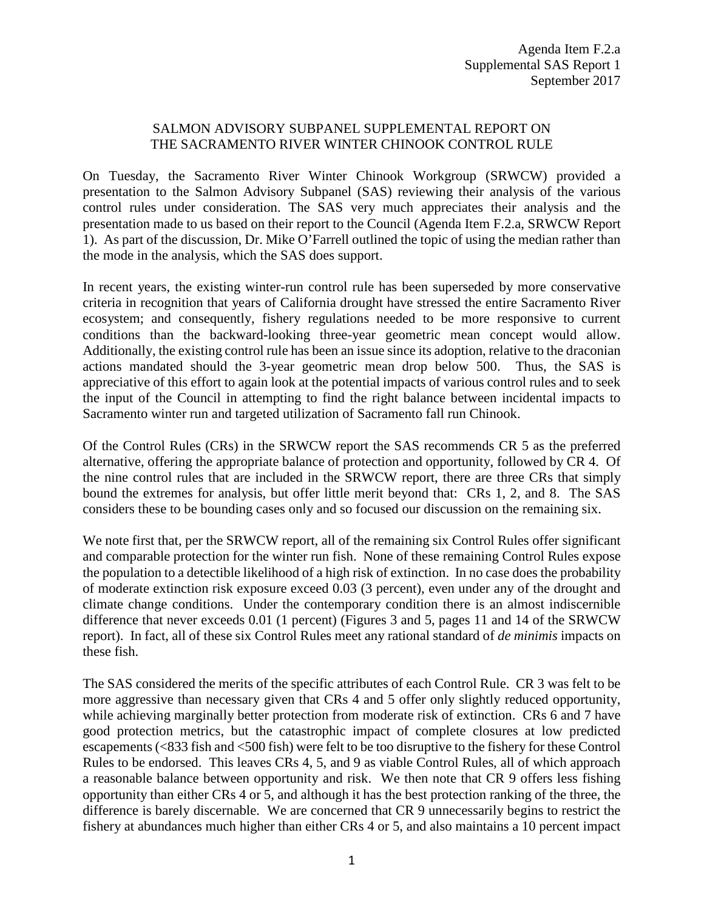## SALMON ADVISORY SUBPANEL SUPPLEMENTAL REPORT ON THE SACRAMENTO RIVER WINTER CHINOOK CONTROL RULE

On Tuesday, the Sacramento River Winter Chinook Workgroup (SRWCW) provided a presentation to the Salmon Advisory Subpanel (SAS) reviewing their analysis of the various control rules under consideration. The SAS very much appreciates their analysis and the presentation made to us based on their report to the Council (Agenda Item F.2.a, SRWCW Report 1). As part of the discussion, Dr. Mike O'Farrell outlined the topic of using the median rather than the mode in the analysis, which the SAS does support.

In recent years, the existing winter-run control rule has been superseded by more conservative criteria in recognition that years of California drought have stressed the entire Sacramento River ecosystem; and consequently, fishery regulations needed to be more responsive to current conditions than the backward-looking three-year geometric mean concept would allow. Additionally, the existing control rule has been an issue since its adoption, relative to the draconian actions mandated should the 3-year geometric mean drop below 500. Thus, the SAS is appreciative of this effort to again look at the potential impacts of various control rules and to seek the input of the Council in attempting to find the right balance between incidental impacts to Sacramento winter run and targeted utilization of Sacramento fall run Chinook.

Of the Control Rules (CRs) in the SRWCW report the SAS recommends CR 5 as the preferred alternative, offering the appropriate balance of protection and opportunity, followed by CR 4. Of the nine control rules that are included in the SRWCW report, there are three CRs that simply bound the extremes for analysis, but offer little merit beyond that: CRs 1, 2, and 8. The SAS considers these to be bounding cases only and so focused our discussion on the remaining six.

We note first that, per the SRWCW report, all of the remaining six Control Rules offer significant and comparable protection for the winter run fish. None of these remaining Control Rules expose the population to a detectible likelihood of a high risk of extinction. In no case does the probability of moderate extinction risk exposure exceed 0.03 (3 percent), even under any of the drought and climate change conditions. Under the contemporary condition there is an almost indiscernible difference that never exceeds 0.01 (1 percent) (Figures 3 and 5, pages 11 and 14 of the SRWCW report). In fact, all of these six Control Rules meet any rational standard of *de minimis* impacts on these fish.

The SAS considered the merits of the specific attributes of each Control Rule. CR 3 was felt to be more aggressive than necessary given that CRs 4 and 5 offer only slightly reduced opportunity, while achieving marginally better protection from moderate risk of extinction. CRs 6 and 7 have good protection metrics, but the catastrophic impact of complete closures at low predicted escapements (<833 fish and <500 fish) were felt to be too disruptive to the fishery for these Control Rules to be endorsed. This leaves CRs 4, 5, and 9 as viable Control Rules, all of which approach a reasonable balance between opportunity and risk. We then note that CR 9 offers less fishing opportunity than either CRs 4 or 5, and although it has the best protection ranking of the three, the difference is barely discernable. We are concerned that CR 9 unnecessarily begins to restrict the fishery at abundances much higher than either CRs 4 or 5, and also maintains a 10 percent impact